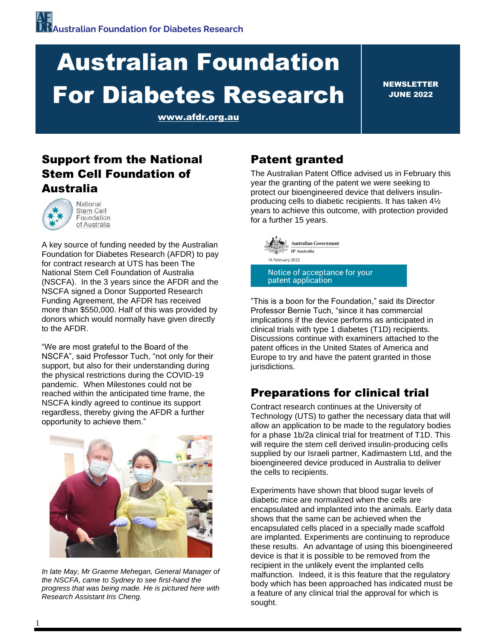# Australian Foundation For Diabetes Research

NEWSLETTER JUNE 2022

[www.afdr.org.au](file:///C:/Users/berna/AppData/Local/Microsoft/Windows/INetCache/Content.Outlook/ZOC3MUQ7/www.afdr.org.au)

## Support from the National Stem Cell Foundation of Australia



A key source of funding needed by the Australian Foundation for Diabetes Research (AFDR) to pay for contract research at UTS has been The National Stem Cell Foundation of Australia (NSCFA). In the 3 years since the AFDR and the NSCFA signed a Donor Supported Research Funding Agreement, the AFDR has received more than \$550,000. Half of this was provided by donors which would normally have given directly to the AFDR.

"We are most grateful to the Board of the NSCFA", said Professor Tuch, "not only for their support, but also for their understanding during the physical restrictions during the COVID-19 pandemic. When Milestones could not be reached within the anticipated time frame, the NSCFA kindly agreed to continue its support regardless, thereby giving the AFDR a further opportunity to achieve them."



*In late May, Mr Graeme Mehegan, General Manager of the NSCFA, came to Sydney to see first-hand the progress that was being made. He is pictured here with Research Assistant Iris Cheng.*

## Patent granted

The Australian Patent Office advised us in February this year the granting of the patent we were seeking to protect our bioengineered device that delivers insulinproducing cells to diabetic recipients. It has taken 4½ years to achieve this outcome, with protection provided for a further 15 years.



"This is a boon for the Foundation," said its Director Professor Bernie Tuch, "since it has commercial implications if the device performs as anticipated in clinical trials with type 1 diabetes (T1D) recipients. Discussions continue with examiners attached to the patent offices in the United States of America and Europe to try and have the patent granted in those jurisdictions.

# Preparations for clinical trial

Contract research continues at the University of Technology (UTS) to gather the necessary data that will allow an application to be made to the regulatory bodies for a phase 1b/2a clinical trial for treatment of T1D. This will require the stem cell derived insulin-producing cells supplied by our Israeli partner, Kadimastem Ltd, and the bioengineered device produced in Australia to deliver the cells to recipients.

Experiments have shown that blood sugar levels of diabetic mice are normalized when the cells are encapsulated and implanted into the animals. Early data shows that the same can be achieved when the encapsulated cells placed in a specially made scaffold are implanted. Experiments are continuing to reproduce these results. An advantage of using this bioengineered device is that it is possible to be removed from the recipient in the unlikely event the implanted cells malfunction. Indeed, it is this feature that the regulatory body which has been approached has indicated must be a feature of any clinical trial the approval for which is sought.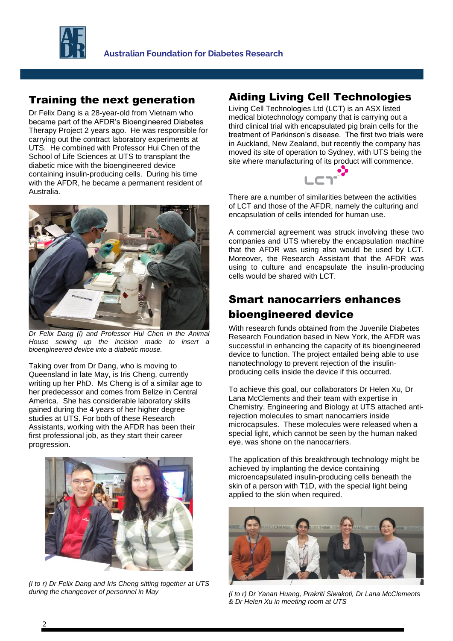

#### Training the next generation

Dr Felix Dang is a 28-year-old from Vietnam who became part of the AFDR's Bioengineered Diabetes Therapy Project 2 years ago. He was responsible for carrying out the contract laboratory experiments at UTS. He combined with Professor Hui Chen of the School of Life Sciences at UTS to transplant the diabetic mice with the bioengineered device containing insulin-producing cells. During his time with the AFDR, he became a permanent resident of Australia.



*Dr Felix Dang (l) and Professor Hui Chen in the Animal House sewing up the incision made to insert a bioengineered device into a diabetic mouse.*

Taking over from Dr Dang, who is moving to Queensland in late May, is Iris Cheng, currently writing up her PhD. Ms Cheng is of a similar age to her predecessor and comes from Belize in Central America. She has considerable laboratory skills gained during the 4 years of her higher degree studies at UTS. For both of these Research Assistants, working with the AFDR has been their first professional job, as they start their career progression.



*(l to r) Dr Felix Dang and Iris Cheng sitting together at UTS during the changeover of personnel in May* 

### Aiding Living Cell Technologies

Living Cell Technologies Ltd (LCT) is an ASX listed medical biotechnology company that is carrying out a third clinical trial with encapsulated pig brain cells for the treatment of Parkinson's disease. The first two trials were in Auckland, New Zealand, but recently the company has moved its site of operation to Sydney, with UTS being the site where manufacturing of its product will commence.



There are a number of similarities between the activities of LCT and those of the AFDR, namely the culturing and encapsulation of cells intended for human use.

A commercial agreement was struck involving these two companies and UTS whereby the encapsulation machine that the AFDR was using also would be used by LCT. Moreover, the Research Assistant that the AFDR was using to culture and encapsulate the insulin-producing cells would be shared with LCT.

## Smart nanocarriers enhances bioengineered device

With research funds obtained from the Juvenile Diabetes Research Foundation based in New York, the AFDR was successful in enhancing the capacity of its bioengineered device to function. The project entailed being able to use nanotechnology to prevent rejection of the insulinproducing cells inside the device if this occurred.

To achieve this goal, our collaborators Dr Helen Xu, Dr Lana McClements and their team with expertise in Chemistry, Engineering and Biology at UTS attached antirejection molecules to smart nanocarriers inside microcapsules. These molecules were released when a special light, which cannot be seen by the human naked eye, was shone on the nanocarriers.

The application of this breakthrough technology might be achieved by implanting the device containing microencapsulated insulin-producing cells beneath the skin of a person with T1D, with the special light being applied to the skin when required.



*(l to r) Dr Yanan Huang, Prakriti Siwakoti, Dr Lana McClements & Dr Helen Xu in meeting room at UTS*